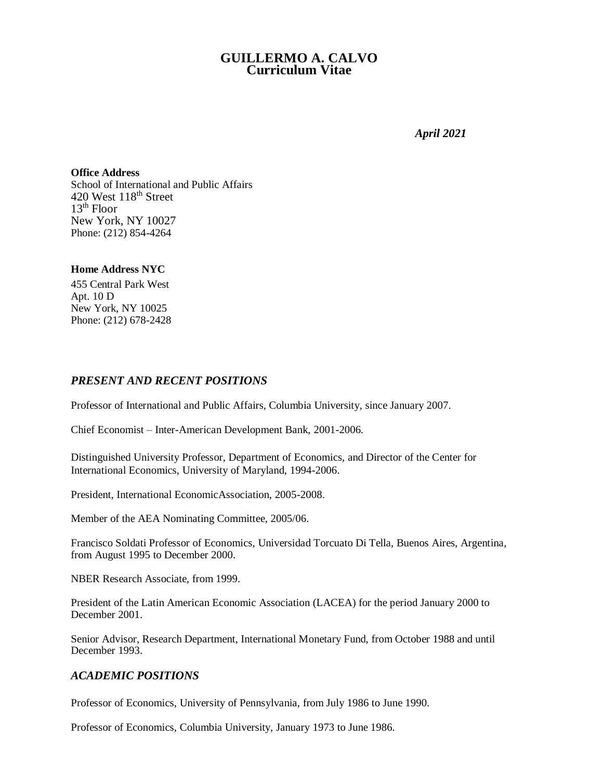# **GUILLERMO A. CALVO Curriculum Vitae**

*April 2021*

**Office Address** School of International and Public Affairs 420 West 118<sup>th</sup> Street  $13<sup>th</sup>$  Floor New York, NY 10027 Phone: (212) 854-4264

#### **Home Address NYC**

455 Central Park West Apt. 10 D New York, NY 10025 Phone: (212) 678-2428

## *PRESENT AND RECENT POSITIONS*

Professor of International and Public Affairs, Columbia University, since January 2007.

Chief Economist – Inter-American Development Bank, 2001-2006.

Distinguished University Professor, Department of Economics, and Director of the Center for International Economics, University of Maryland, 1994-2006.

President, International EconomicAssociation, 2005-2008.

Member of the AEA Nominating Committee, 2005/06.

Francisco Soldati Professor of Economics, Universidad Torcuato Di Tella, Buenos Aires, Argentina, from August 1995 to December 2000.

NBER Research Associate, from 1999.

President of the Latin American Economic Association (LACEA) for the period January 2000 to December 2001.

Senior Advisor, Research Department, International Monetary Fund, from October 1988 and until December 1993.

## *ACADEMIC POSITIONS*

Professor of Economics, University of Pennsylvania, from July 1986 to June 1990.

Professor of Economics, Columbia University, January 1973 to June 1986.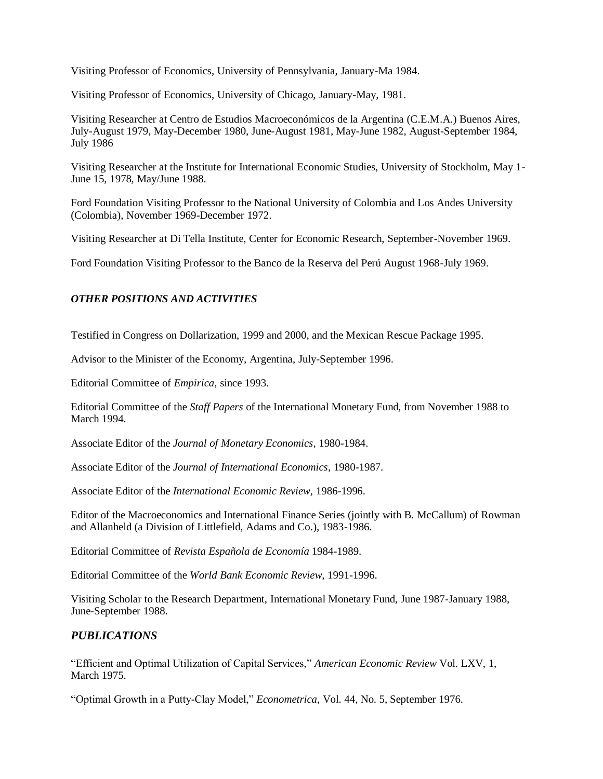Visiting Professor of Economics, University of Pennsylvania, January-Ma 1984.

Visiting Professor of Economics, University of Chicago, January-May, 1981.

Visiting Researcher at Centro de Estudios Macroeconómicos de la Argentina (C.E.M.A.) Buenos Aires, July-August 1979, May-December 1980, June-August 1981, May-June 1982, August-September 1984, July 1986

Visiting Researcher at the Institute for International Economic Studies, University of Stockholm, May 1- June 15, 1978, May/June 1988.

Ford Foundation Visiting Professor to the National University of Colombia and Los Andes University (Colombia), November 1969-December 1972.

Visiting Researcher at Di Tella Institute, Center for Economic Research, September-November 1969.

Ford Foundation Visiting Professor to the Banco de la Reserva del Perú August 1968-July 1969.

#### *OTHER POSITIONS AND ACTIVITIES*

Testified in Congress on Dollarization, 1999 and 2000, and the Mexican Rescue Package 1995.

Advisor to the Minister of the Economy, Argentina, July-September 1996.

Editorial Committee of *Empirica*, since 1993.

Editorial Committee of the *Staff Papers* of the International Monetary Fund, from November 1988 to March 1994.

Associate Editor of the *Journal of Monetary Economics*, 1980-1984.

Associate Editor of the *Journal of International Economics*, 1980-1987.

Associate Editor of the *International Economic Review,* 1986-1996.

Editor of the Macroeconomics and International Finance Series (jointly with B. McCallum) of Rowman and Allanheld (a Division of Littlefield, Adams and Co.), 1983-1986.

Editorial Committee of *Revista Española de Economía* 1984-1989.

Editorial Committee of the *World Bank Economic Review*, 1991-1996.

Visiting Scholar to the Research Department, International Monetary Fund, June 1987-January 1988, June-September 1988.

### *PUBLICATIONS*

"Efficient and Optimal Utilization of Capital Services," *American Economic Review* Vol. LXV, 1, March 1975.

"Optimal Growth in a Putty-Clay Model," *Econometrica*, Vol. 44, No. 5, September 1976.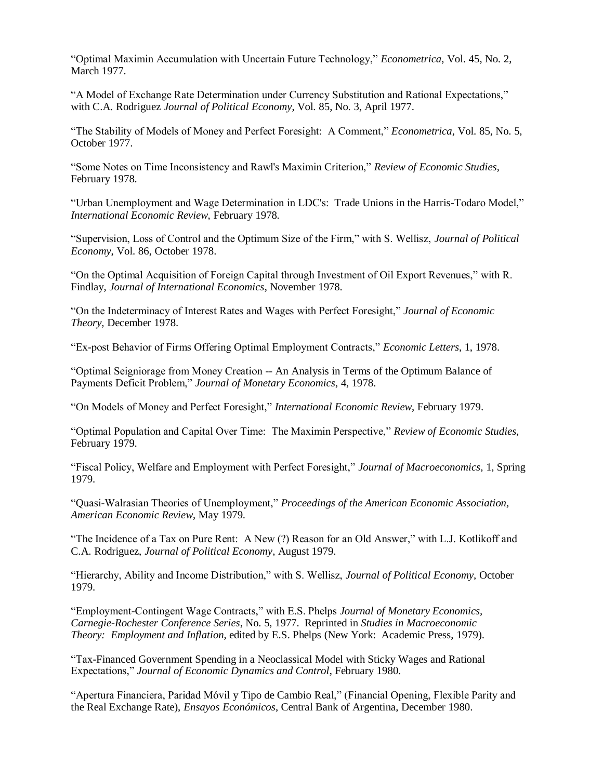"Optimal Maximin Accumulation with Uncertain Future Technology," *Econometrica*, Vol. 45, No. 2, March 1977.

"A Model of Exchange Rate Determination under Currency Substitution and Rational Expectations," with C.A. Rodriguez *Journal of Political Economy*, Vol. 85, No. 3, April 1977.

"The Stability of Models of Money and Perfect Foresight: A Comment," *Econometrica*, Vol. 85, No. 5, October 1977.

"Some Notes on Time Inconsistency and Rawl's Maximin Criterion," *Review of Economic Studies*, February 1978.

"Urban Unemployment and Wage Determination in LDC's: Trade Unions in the Harris-Todaro Model," *International Economic Review*, February 1978.

"Supervision, Loss of Control and the Optimum Size of the Firm," with S. Wellisz, *Journal of Political Economy*, Vol. 86, October 1978.

"On the Optimal Acquisition of Foreign Capital through Investment of Oil Export Revenues," with R. Findlay, *Journal of International Economics*, November 1978.

"On the Indeterminacy of Interest Rates and Wages with Perfect Foresight," *Journal of Economic Theory,* December 1978.

"Ex-post Behavior of Firms Offering Optimal Employment Contracts," *Economic Letters*, 1, 1978.

"Optimal Seigniorage from Money Creation -- An Analysis in Terms of the Optimum Balance of Payments Deficit Problem," *Journal of Monetary Economics*, 4, 1978.

"On Models of Money and Perfect Foresight," *International Economic Review*, February 1979.

"Optimal Population and Capital Over Time: The Maximin Perspective," *Review of Economic Studies*, February 1979.

"Fiscal Policy, Welfare and Employment with Perfect Foresight," *Journal of Macroeconomics*, 1, Spring 1979.

"Quasi-Walrasian Theories of Unemployment," *Proceedings of the American Economic Association, American Economic Review*, May 1979.

"The Incidence of a Tax on Pure Rent: A New (?) Reason for an Old Answer," with L.J. Kotlikoff and C.A. Rodriguez, *Journal of Political Economy*, August 1979.

"Hierarchy, Ability and Income Distribution," with S. Wellisz, *Journal of Political Economy*, October 1979.

"Employment-Contingent Wage Contracts," with E.S. Phelps *Journal of Monetary Economics, Carnegie-Rochester Conference Series*, No. 5, 1977. Reprinted in *Studies in Macroeconomic Theory: Employment and Inflation*, edited by E.S. Phelps (New York: Academic Press, 1979).

"Tax-Financed Government Spending in a Neoclassical Model with Sticky Wages and Rational Expectations," *Journal of Economic Dynamics and Control*, February 1980.

"Apertura Financiera, Paridad Móvil y Tipo de Cambio Real," (Financial Opening, Flexible Parity and the Real Exchange Rate), *Ensayos Económicos*, Central Bank of Argentina, December 1980.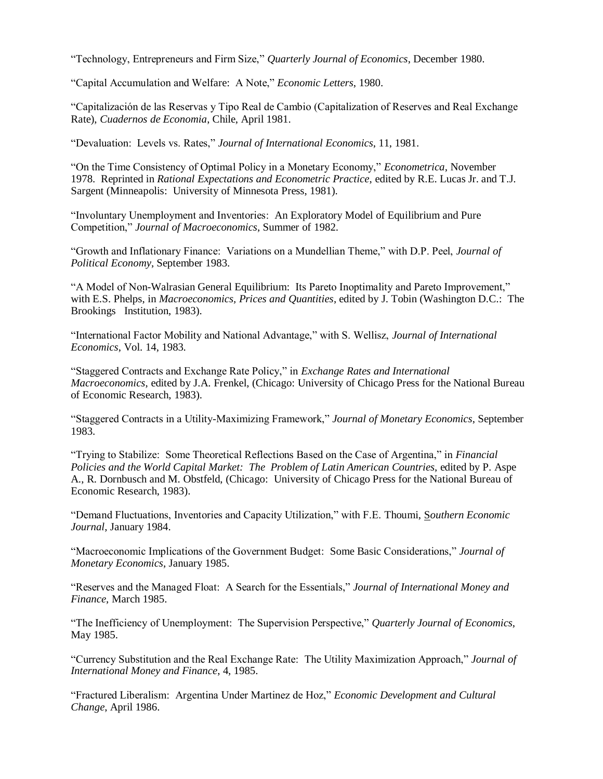"Technology, Entrepreneurs and Firm Size," *Quarterly Journal of Economics*, December 1980.

"Capital Accumulation and Welfare: A Note," *Economic Letters*, 1980.

"Capitalización de las Reservas y Tipo Real de Cambio (Capitalization of Reserves and Real Exchange Rate), *Cuadernos de Economia*, Chile, April 1981.

"Devaluation: Levels vs. Rates," *Journal of International Economics*, 11, 1981.

"On the Time Consistency of Optimal Policy in a Monetary Economy," *Econometrica*, November 1978. Reprinted in *Rational Expectations and Econometric Practice*, edited by R.E. Lucas Jr. and T.J. Sargent (Minneapolis: University of Minnesota Press, 1981).

"Involuntary Unemployment and Inventories: An Exploratory Model of Equilibrium and Pure Competition," *Journal of Macroeconomics*, Summer of 1982.

"Growth and Inflationary Finance: Variations on a Mundellian Theme," with D.P. Peel, *Journal of Political Economy*, September 1983.

"A Model of Non-Walrasian General Equilibrium: Its Pareto Inoptimality and Pareto Improvement," with E.S. Phelps, in *Macroeconomics, Prices and Quantities*, edited by J. Tobin (Washington D.C.: The Brookings Institution, 1983).

"International Factor Mobility and National Advantage," with S. Wellisz, *Journal of International Economics*, Vol. 14, 1983.

"Staggered Contracts and Exchange Rate Policy," in *Exchange Rates and International Macroeconomics*, edited by J.A. Frenkel, (Chicago: University of Chicago Press for the National Bureau of Economic Research, 1983).

"Staggered Contracts in a Utility-Maximizing Framework," *Journal of Monetary Economics*, September 1983.

"Trying to Stabilize: Some Theoretical Reflections Based on the Case of Argentina," in *Financial Policies and the World Capital Market: The Problem of Latin American Countries*, edited by P. Aspe A., R. Dornbusch and M. Obstfeld, (Chicago: University of Chicago Press for the National Bureau of Economic Research, 1983).

"Demand Fluctuations, Inventories and Capacity Utilization," with F.E. Thoumi, S*outhern Economic Journal*, January 1984.

"Macroeconomic Implications of the Government Budget: Some Basic Considerations," *Journal of Monetary Economics*, January 1985.

"Reserves and the Managed Float: A Search for the Essentials," *Journal of International Money and Finance*, March 1985.

"The Inefficiency of Unemployment: The Supervision Perspective," *Quarterly Journal of Economics*, May 1985.

"Currency Substitution and the Real Exchange Rate: The Utility Maximization Approach," *Journal of International Money and Finance*, 4, 1985.

"Fractured Liberalism: Argentina Under Martinez de Hoz," *Economic Development and Cultural Change*, April 1986.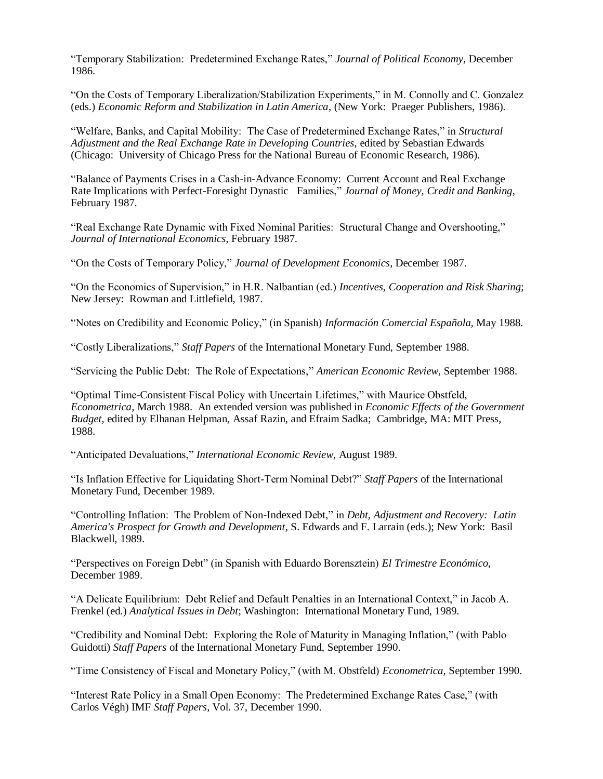"Temporary Stabilization: Predetermined Exchange Rates," *Journal of Political Economy*, December 1986.

"On the Costs of Temporary Liberalization/Stabilization Experiments," in M. Connolly and C. Gonzalez (eds.) *Economic Reform and Stabilization in Latin America*, (New York: Praeger Publishers, 1986).

"Welfare, Banks, and Capital Mobility: The Case of Predetermined Exchange Rates," in *Structural Adjustment and the Real Exchange Rate in Developing Countries*, edited by Sebastian Edwards (Chicago: University of Chicago Press for the National Bureau of Economic Research, 1986).

"Balance of Payments Crises in a Cash-in-Advance Economy: Current Account and Real Exchange Rate Implications with Perfect-Foresight Dynastic Families," *Journal of Money, Credit and Banking*, February 1987.

"Real Exchange Rate Dynamic with Fixed Nominal Parities: Structural Change and Overshooting," *Journal of International Economics*, February 1987.

"On the Costs of Temporary Policy," *Journal of Development Economics*, December 1987.

"On the Economics of Supervision," in H.R. Nalbantian (ed.) *Incentives, Cooperation and Risk Sharing*; New Jersey: Rowman and Littlefield, 1987.

"Notes on Credibility and Economic Policy," (in Spanish) *Información Comercial Española,* May 1988.

"Costly Liberalizations," *Staff Papers* of the International Monetary Fund, September 1988.

"Servicing the Public Debt: The Role of Expectations," *American Economic Review*, September 1988.

"Optimal Time-Consistent Fiscal Policy with Uncertain Lifetimes," with Maurice Obstfeld, *Econometrica*, March 1988. An extended version was published in *Economic Effects of the Government Budget*, edited by Elhanan Helpman, Assaf Razin, and Efraim Sadka; Cambridge, MA: MIT Press, 1988.

"Anticipated Devaluations," *International Economic Review*, August 1989.

"Is Inflation Effective for Liquidating Short-Term Nominal Debt?" *Staff Papers* of the International Monetary Fund, December 1989.

"Controlling Inflation: The Problem of Non-Indexed Debt," in *Debt, Adjustment and Recovery: Latin America's Prospect for Growth and Development*, S. Edwards and F. Larrain (eds.); New York: Basil Blackwell, 1989.

"Perspectives on Foreign Debt" (in Spanish with Eduardo Borensztein) *El Trimestre Económico*, December 1989.

"A Delicate Equilibrium: Debt Relief and Default Penalties in an International Context," in Jacob A. Frenkel (ed.) *Analytical Issues in Debt*; Washington: International Monetary Fund, 1989.

"Credibility and Nominal Debt: Exploring the Role of Maturity in Managing Inflation," (with Pablo Guidotti) *Staff Papers* of the International Monetary Fund, September 1990.

"Time Consistency of Fiscal and Monetary Policy," (with M. Obstfeld) *Econometrica*, September 1990.

"Interest Rate Policy in a Small Open Economy: The Predetermined Exchange Rates Case," (with Carlos Végh) IMF *Staff Papers*, Vol. 37, December 1990.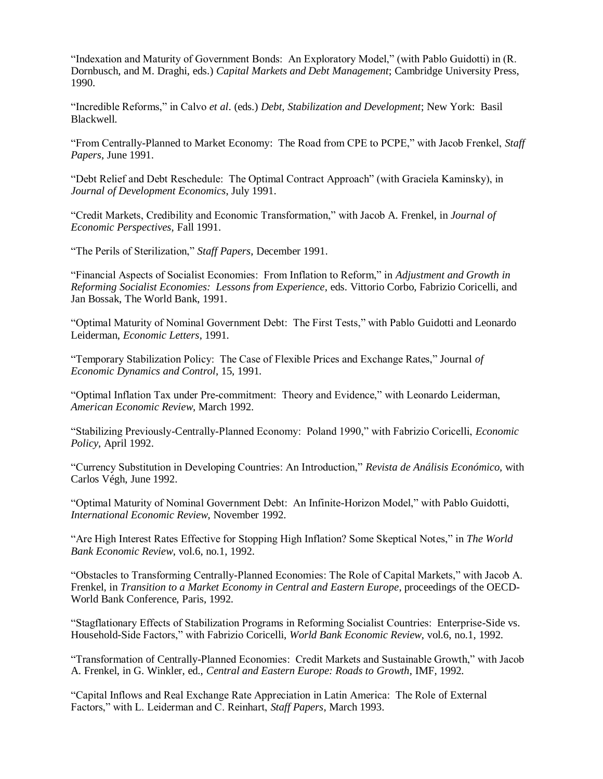"Indexation and Maturity of Government Bonds: An Exploratory Model," (with Pablo Guidotti) in (R. Dornbusch, and M. Draghi, eds.) *Capital Markets and Debt Management*; Cambridge University Press, 1990.

"Incredible Reforms," in Calvo *et al*. (eds.) *Debt, Stabilization and Development*; New York: Basil Blackwell.

"From Centrally-Planned to Market Economy: The Road from CPE to PCPE," with Jacob Frenkel, *Staff Papers*, June 1991.

"Debt Relief and Debt Reschedule: The Optimal Contract Approach" (with Graciela Kaminsky), in *Journal of Development Economics*, July 1991.

"Credit Markets, Credibility and Economic Transformation," with Jacob A. Frenkel, in *Journal of Economic Perspectives*, Fall 1991.

"The Perils of Sterilization," *Staff Papers*, December 1991.

"Financial Aspects of Socialist Economies: From Inflation to Reform," in *Adjustment and Growth in Reforming Socialist Economies: Lessons from Experience*, eds. Vittorio Corbo, Fabrizio Coricelli, and Jan Bossak, The World Bank, 1991.

"Optimal Maturity of Nominal Government Debt: The First Tests," with Pablo Guidotti and Leonardo Leiderman, *Economic Letters*, 1991.

"Temporary Stabilization Policy: The Case of Flexible Prices and Exchange Rates," Journal *of Economic Dynamics and Control*, 15, 1991.

"Optimal Inflation Tax under Pre-commitment: Theory and Evidence," with Leonardo Leiderman, *American Economic Review*, March 1992.

"Stabilizing Previously-Centrally-Planned Economy: Poland 1990," with Fabrizio Coricelli, *Economic Policy*, April 1992.

"Currency Substitution in Developing Countries: An Introduction," *Revista de Análisis Económico,* with Carlos Végh, June 1992.

"Optimal Maturity of Nominal Government Debt: An Infinite-Horizon Model," with Pablo Guidotti, *International Economic Review*, November 1992.

"Are High Interest Rates Effective for Stopping High Inflation? Some Skeptical Notes," in *The World Bank Economic Review*, vol.6, no.1, 1992.

"Obstacles to Transforming Centrally-Planned Economies: The Role of Capital Markets," with Jacob A. Frenkel, in *Transition to a Market Economy in Central and Eastern Europe*, proceedings of the OECD-World Bank Conference, Paris, 1992.

"Stagflationary Effects of Stabilization Programs in Reforming Socialist Countries: Enterprise-Side vs. Household-Side Factors," with Fabrizio Coricelli, *World Bank Economic Review*, vol.6, no.1, 1992.

"Transformation of Centrally-Planned Economies: Credit Markets and Sustainable Growth," with Jacob A. Frenkel, in G. Winkler, ed., *Central and Eastern Europe: Roads to Growth*, IMF, 1992.

"Capital Inflows and Real Exchange Rate Appreciation in Latin America: The Role of External Factors," with L. Leiderman and C. Reinhart, *Staff Papers*, March 1993.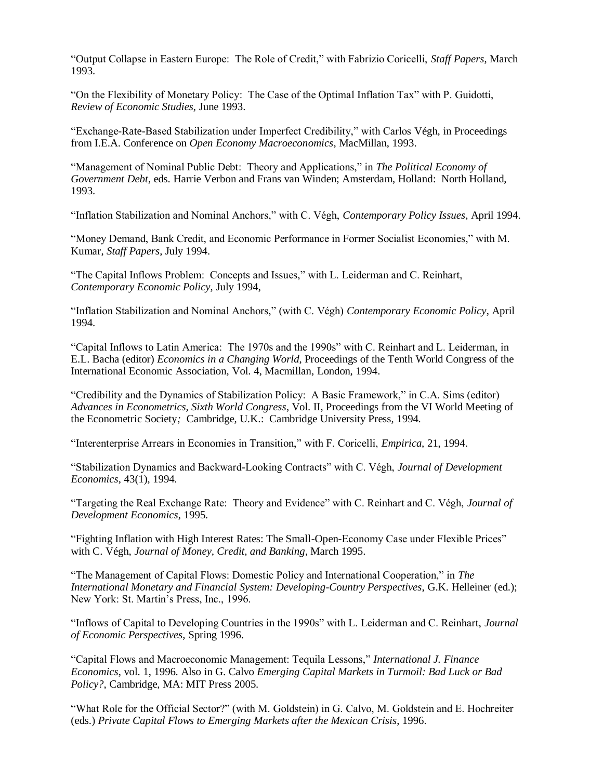"Output Collapse in Eastern Europe: The Role of Credit," with Fabrizio Coricelli, *Staff Papers*, March 1993.

"On the Flexibility of Monetary Policy: The Case of the Optimal Inflation Tax" with P. Guidotti, *Review of Economic Studies*, June 1993.

"Exchange-Rate-Based Stabilization under Imperfect Credibility," with Carlos Végh, in Proceedings from I.E.A. Conference on *Open Economy Macroeconomics*, MacMillan, 1993.

"Management of Nominal Public Debt: Theory and Applications," in *The Political Economy of Government Debt*, eds. Harrie Verbon and Frans van Winden; Amsterdam, Holland: North Holland, 1993.

"Inflation Stabilization and Nominal Anchors," with C. Végh, *Contemporary Policy Issues*, April 1994.

"Money Demand, Bank Credit, and Economic Performance in Former Socialist Economies," with M. Kumar, *Staff Papers*, July 1994.

"The Capital Inflows Problem: Concepts and Issues," with L. Leiderman and C. Reinhart, *Contemporary Economic Policy*, July 1994,

"Inflation Stabilization and Nominal Anchors," (with C. Végh) *Contemporary Economic Policy*, April 1994.

"Capital Inflows to Latin America: The 1970s and the 1990s" with C. Reinhart and L. Leiderman, in E.L. Bacha (editor) *Economics in a Changing World*, Proceedings of the Tenth World Congress of the International Economic Association*,* Vol. 4, Macmillan, London, 1994.

"Credibility and the Dynamics of Stabilization Policy: A Basic Framework," in C.A. Sims (editor) *Advances in Econometrics, Sixth World Congress*, Vol. II, Proceedings from the VI World Meeting of the Econometric Society*;* Cambridge, U.K.: Cambridge University Press, 1994.

"Interenterprise Arrears in Economies in Transition," with F. Coricelli, *Empirica*, 21, 1994.

"Stabilization Dynamics and Backward-Looking Contracts" with C. Végh, *Journal of Development Economics*, 43(1), 1994.

"Targeting the Real Exchange Rate: Theory and Evidence" with C. Reinhart and C. Végh, *Journal of Development Economics*, 1995.

"Fighting Inflation with High Interest Rates: The Small-Open-Economy Case under Flexible Prices" with C. Végh, *Journal of Money, Credit, and Banking*, March 1995.

"The Management of Capital Flows: Domestic Policy and International Cooperation," in *The International Monetary and Financial System: Developing-Country Perspectives*, G.K. Helleiner (ed.); New York: St. Martin's Press, Inc., 1996.

"Inflows of Capital to Developing Countries in the 1990s" with L. Leiderman and C. Reinhart, *Journal of Economic Perspectives*, Spring 1996.

"Capital Flows and Macroeconomic Management: Tequila Lessons," *International J. Finance Economics*, vol. 1, 1996. Also in G. Calvo *Emerging Capital Markets in Turmoil: Bad Luck or Bad Policy?*, Cambridge, MA: MIT Press 2005.

"What Role for the Official Sector?" (with M. Goldstein) in G. Calvo, M. Goldstein and E. Hochreiter (eds.) *Private Capital Flows to Emerging Markets after the Mexican Crisis*, 1996.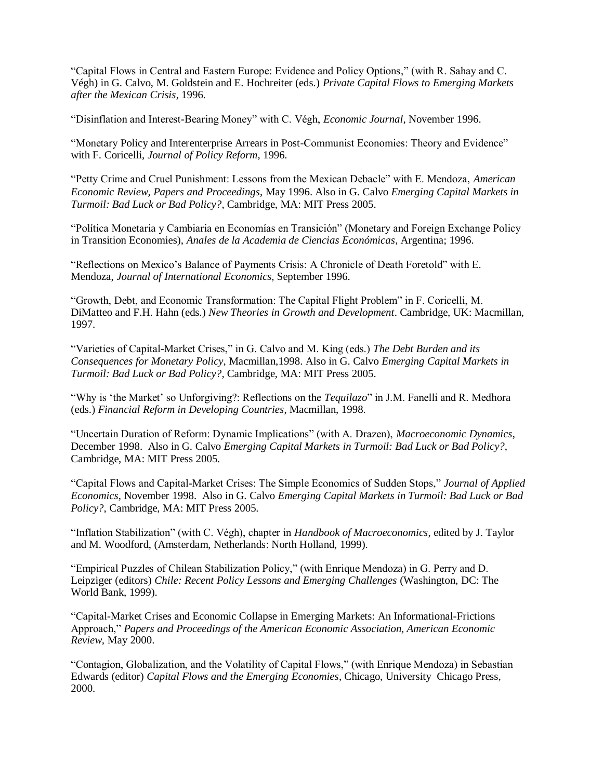"Capital Flows in Central and Eastern Europe: Evidence and Policy Options," (with R. Sahay and C. Végh) in G. Calvo, M. Goldstein and E. Hochreiter (eds.) *Private Capital Flows to Emerging Markets after the Mexican Crisis*, 1996.

"Disinflation and Interest-Bearing Money" with C. Végh, *Economic Journal*, November 1996.

"Monetary Policy and Interenterprise Arrears in Post-Communist Economies: Theory and Evidence" with F. Coricelli, *Journal of Policy Reform*, 1996.

"Petty Crime and Cruel Punishment: Lessons from the Mexican Debacle" with E. Mendoza, *American Economic Review, Papers and Proceedings*, May 1996. Also in G. Calvo *Emerging Capital Markets in Turmoil: Bad Luck or Bad Policy?*, Cambridge, MA: MIT Press 2005.

"Política Monetaria y Cambiaria en Economías en Transición" (Monetary and Foreign Exchange Policy in Transition Economies), *Anales de la Academia de Ciencias Económicas*, Argentina; 1996.

"Reflections on Mexico's Balance of Payments Crisis: A Chronicle of Death Foretold" with E. Mendoza, *Journal of International Economics*, September 1996.

"Growth, Debt, and Economic Transformation: The Capital Flight Problem" in F. Coricelli, M. DiMatteo and F.H. Hahn (eds.) *New Theories in Growth and Development*. Cambridge, UK: Macmillan, 1997.

"Varieties of Capital-Market Crises," in G. Calvo and M. King (eds.) *The Debt Burden and its Consequences for Monetary Policy*, Macmillan,1998. Also in G. Calvo *Emerging Capital Markets in Turmoil: Bad Luck or Bad Policy?*, Cambridge, MA: MIT Press 2005.

"Why is 'the Market' so Unforgiving?: Reflections on the *Tequilazo*" in J.M. Fanelli and R. Medhora (eds.) *Financial Reform in Developing Countries*, Macmillan, 1998.

"Uncertain Duration of Reform: Dynamic Implications" (with A. Drazen), *Macroeconomic Dynamics*, December 1998. Also in G. Calvo *Emerging Capital Markets in Turmoil: Bad Luck or Bad Policy?*, Cambridge, MA: MIT Press 2005.

"Capital Flows and Capital-Market Crises: The Simple Economics of Sudden Stops," *Journal of Applied Economics*, November 1998. Also in G. Calvo *Emerging Capital Markets in Turmoil: Bad Luck or Bad Policy?*, Cambridge, MA: MIT Press 2005.

"Inflation Stabilization" (with C. Végh), chapter in *Handbook of Macroeconomics*, edited by J. Taylor and M. Woodford, (Amsterdam, Netherlands: North Holland, 1999).

"Empirical Puzzles of Chilean Stabilization Policy," (with Enrique Mendoza) in G. Perry and D. Leipziger (editors) *Chile: Recent Policy Lessons and Emerging Challenges* (Washington, DC: The World Bank, 1999).

"Capital-Market Crises and Economic Collapse in Emerging Markets: An Informational-Frictions Approach," *Papers and Proceedings of the American Economic Association, American Economic Review,* May 2000.

"Contagion, Globalization, and the Volatility of Capital Flows," (with Enrique Mendoza) in Sebastian Edwards (editor) *Capital Flows and the Emerging Economies*, Chicago, University Chicago Press, 2000.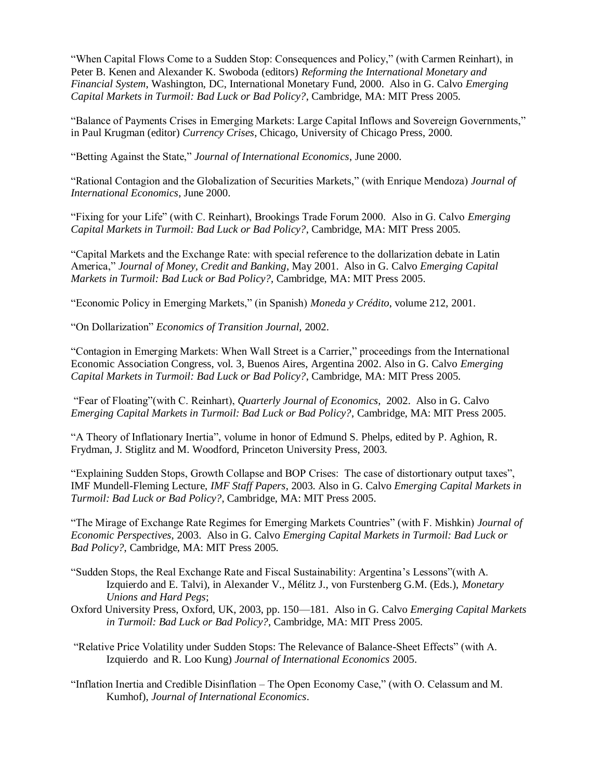"When Capital Flows Come to a Sudden Stop: Consequences and Policy," (with Carmen Reinhart), in Peter B. Kenen and Alexander K. Swoboda (editors) *Reforming the International Monetary and Financial System*, Washington, DC, International Monetary Fund, 2000. Also in G. Calvo *Emerging Capital Markets in Turmoil: Bad Luck or Bad Policy?*, Cambridge, MA: MIT Press 2005.

"Balance of Payments Crises in Emerging Markets: Large Capital Inflows and Sovereign Governments," in Paul Krugman (editor) *Currency Crises*, Chicago, University of Chicago Press, 2000.

"Betting Against the State," *Journal of International Economics*, June 2000.

"Rational Contagion and the Globalization of Securities Markets," (with Enrique Mendoza) *Journal of International Economics*, June 2000.

"Fixing for your Life" (with C. Reinhart), Brookings Trade Forum 2000. Also in G. Calvo *Emerging Capital Markets in Turmoil: Bad Luck or Bad Policy?*, Cambridge, MA: MIT Press 2005.

"Capital Markets and the Exchange Rate: with special reference to the dollarization debate in Latin America," *Journal of Money, Credit and Banking*, May 2001. Also in G. Calvo *Emerging Capital Markets in Turmoil: Bad Luck or Bad Policy?*, Cambridge, MA: MIT Press 2005.

"Economic Policy in Emerging Markets," (in Spanish) *Moneda y Crédito*, volume 212, 2001.

"On Dollarization" *Economics of Transition Journal,* 2002.

"Contagion in Emerging Markets: When Wall Street is a Carrier," proceedings from the International Economic Association Congress, vol. 3, Buenos Aires, Argentina 2002. Also in G. Calvo *Emerging Capital Markets in Turmoil: Bad Luck or Bad Policy?*, Cambridge, MA: MIT Press 2005.

"Fear of Floating"(with C. Reinhart), *Quarterly Journal of Economics,* 2002. Also in G. Calvo *Emerging Capital Markets in Turmoil: Bad Luck or Bad Policy?*, Cambridge, MA: MIT Press 2005.

"A Theory of Inflationary Inertia", volume in honor of Edmund S. Phelps, edited by P. Aghion, R. Frydman, J. Stiglitz and M. Woodford, Princeton University Press, 2003.

"Explaining Sudden Stops, Growth Collapse and BOP Crises: The case of distortionary output taxes", IMF Mundell-Fleming Lecture, *IMF Staff Papers*, 2003. Also in G. Calvo *Emerging Capital Markets in Turmoil: Bad Luck or Bad Policy?*, Cambridge, MA: MIT Press 2005.

"The Mirage of Exchange Rate Regimes for Emerging Markets Countries" (with F. Mishkin) *Journal of Economic Perspectives*, 2003. Also in G. Calvo *Emerging Capital Markets in Turmoil: Bad Luck or Bad Policy?*, Cambridge, MA: MIT Press 2005.

- "Sudden Stops, the Real Exchange Rate and Fiscal Sustainability: Argentina's Lessons"(with A. Izquierdo and E. Talvi), in Alexander V., Mélitz J., von Furstenberg G.M. (Eds.), *Monetary Unions and Hard Pegs*;
- Oxford University Press, Oxford, UK, 2003, pp. 150—181. Also in G. Calvo *Emerging Capital Markets in Turmoil: Bad Luck or Bad Policy?*, Cambridge, MA: MIT Press 2005.
- "Relative Price Volatility under Sudden Stops: The Relevance of Balance-Sheet Effects" (with A. Izquierdo and R. Loo Kung) *Journal of International Economics* 2005.
- "Inflation Inertia and Credible Disinflation The Open Economy Case," (with O. Celassum and M. Kumhof), *Journal of International Economics*.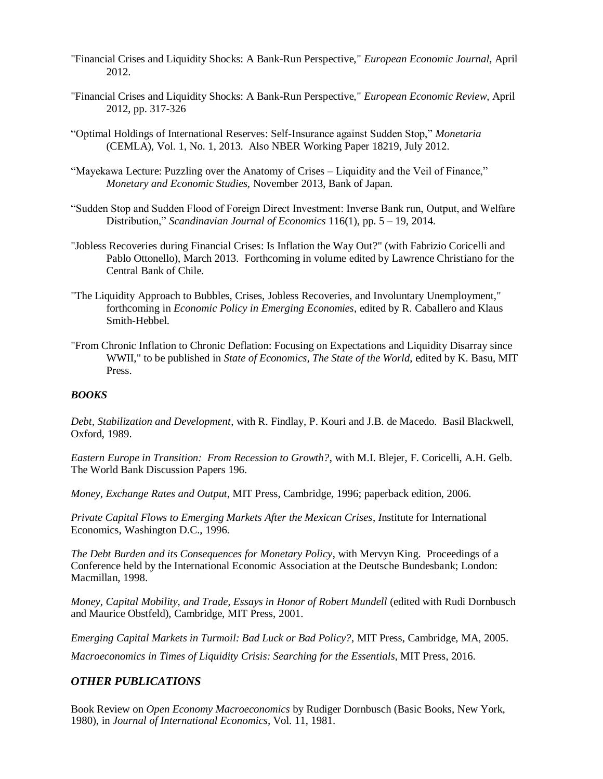- "Financial Crises and Liquidity Shocks: A Bank-Run Perspective," *European Economic Journal*, April 2012.
- "Financial Crises and Liquidity Shocks: A Bank-Run Perspective," *European Economic Review*, April 2012, pp. 317-326
- "Optimal Holdings of International Reserves: Self-Insurance against Sudden Stop," *Monetaria* (CEMLA), Vol. 1, No. 1, 2013. Also NBER Working Paper 18219, July 2012.
- "Mayekawa Lecture: Puzzling over the Anatomy of Crises Liquidity and the Veil of Finance," *Monetary and Economic Studies,* November 2013, Bank of Japan.
- "Sudden Stop and Sudden Flood of Foreign Direct Investment: Inverse Bank run, Output, and Welfare Distribution," *Scandinavian Journal of Economics* 116(1), pp. 5 – 19, 2014.
- "Jobless Recoveries during Financial Crises: Is Inflation the Way Out?" (with Fabrizio Coricelli and Pablo Ottonello), March 2013. Forthcoming in volume edited by Lawrence Christiano for the Central Bank of Chile.
- "The Liquidity Approach to Bubbles, Crises, Jobless Recoveries, and Involuntary Unemployment," forthcoming in *Economic Policy in Emerging Economies*, edited by R. Caballero and Klaus Smith-Hebbel.
- "From Chronic Inflation to Chronic Deflation: Focusing on Expectations and Liquidity Disarray since WWII," to be published in *State of Economics, The State of the World*, edited by K. Basu, MIT Press.

### *BOOKS*

*Debt, Stabilization and Development*, with R. Findlay, P. Kouri and J.B. de Macedo. Basil Blackwell, Oxford, 1989.

*Eastern Europe in Transition: From Recession to Growth?*, with M.I. Blejer, F. Coricelli, A.H. Gelb. The World Bank Discussion Papers 196.

*Money, Exchange Rates and Output*, MIT Press, Cambridge, 1996; paperback edition, 2006.

*Private Capital Flows to Emerging Markets After the Mexican Crises*, *I*nstitute for International Economics, Washington D.C., 1996.

*The Debt Burden and its Consequences for Monetary Policy*, with Mervyn King. Proceedings of a Conference held by the International Economic Association at the Deutsche Bundesbank; London: Macmillan, 1998.

*Money, Capital Mobility, and Trade, Essays in Honor of Robert Mundell* (edited with Rudi Dornbusch and Maurice Obstfeld), Cambridge, MIT Press, 2001.

*Emerging Capital Markets in Turmoil: Bad Luck or Bad Policy?*, MIT Press, Cambridge, MA, 2005.

*Macroeconomics in Times of Liquidity Crisis: Searching for the Essentials*, MIT Press, 2016.

### *OTHER PUBLICATIONS*

Book Review on *Open Economy Macroeconomics* by Rudiger Dornbusch (Basic Books, New York, 1980), in *Journal of International Economics*, Vol. 11, 1981.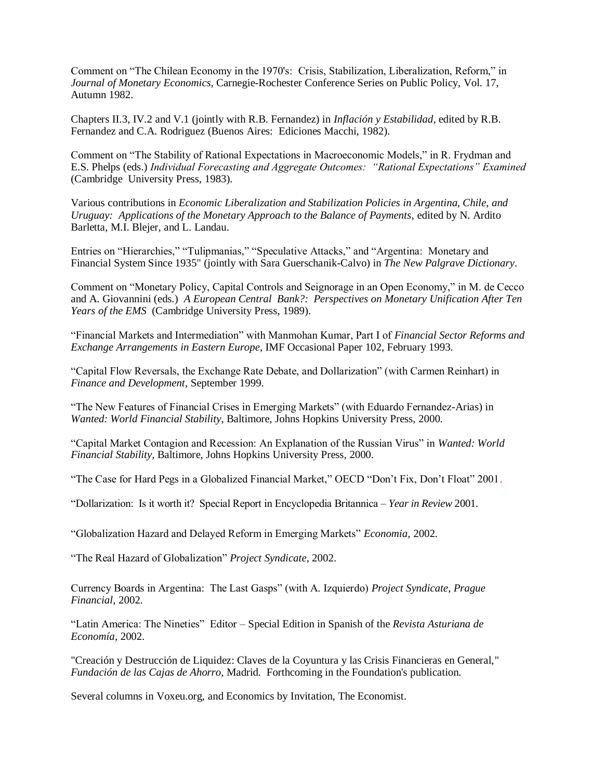Comment on "The Chilean Economy in the 1970's: Crisis, Stabilization, Liberalization, Reform," in *Journal of Monetary Economics*, Carnegie-Rochester Conference Series on Public Policy, Vol. 17, Autumn 1982.

Chapters II.3, IV.2 and V.1 (jointly with R.B. Fernandez) in *Inflación y Estabilidad*, edited by R.B. Fernandez and C.A. Rodriguez (Buenos Aires: Ediciones Macchi, 1982).

Comment on "The Stability of Rational Expectations in Macroeconomic Models," in R. Frydman and E.S. Phelps (eds.) *Individual Forecasting and Aggregate Outcomes: "Rational Expectations" Examined*  (Cambridge University Press, 1983).

Various contributions in *Economic Liberalization and Stabilization Policies in Argentina, Chile, and Uruguay: Applications of the Monetary Approach to the Balance of Payments*, edited by N. Ardito Barletta, M.I. Blejer, and L. Landau.

Entries on "Hierarchies," "Tulipmanias," "Speculative Attacks," and "Argentina: Monetary and Financial System Since 1935" (jointly with Sara Guerschanik-Calvo) in *The New Palgrave Dictionary*.

Comment on "Monetary Policy, Capital Controls and Seignorage in an Open Economy," in M. de Cecco and A. Giovannini (eds.) *A European Central Bank?: Perspectives on Monetary Unification After Ten Years of the EMS* (Cambridge University Press, 1989).

"Financial Markets and Intermediation" with Manmohan Kumar, Part I of *Financial Sector Reforms and Exchange Arrangements in Eastern Europe*, IMF Occasional Paper 102, February 1993.

"Capital Flow Reversals, the Exchange Rate Debate, and Dollarization" (with Carmen Reinhart) in *Finance and Development*, September 1999.

"The New Features of Financial Crises in Emerging Markets" (with Eduardo Fernandez-Arias) in *Wanted: World Financial Stability*, Baltimore, Johns Hopkins University Press, 2000.

"Capital Market Contagion and Recession: An Explanation of the Russian Virus" in *Wanted: World Financial Stability*, Baltimore, Johns Hopkins University Press, 2000.

"The Case for Hard Pegs in a Globalized Financial Market," OECD "Don't Fix, Don't Float" 2001.

"Dollarization: Is it worth it? Special Report in Encyclopedia Britannica – *Year in Review* 2001.

"Globalization Hazard and Delayed Reform in Emerging Markets" *Economia,* 2002.

"The Real Hazard of Globalization" *Project Syndicate*, 2002.

Currency Boards in Argentina: The Last Gasps" (with A. Izquierdo) *Project Syndicate, Prague Financial*, 2002.

"Latin America: The Nineties" Editor – Special Edition in Spanish of the *Revista Asturiana de Economía*, 2002.

"Creación y Destrucción de Liquidez: Claves de la Coyuntura y las Crisis Financieras en General," *Fundación de las Cajas de Ahorro,* Madrid. Forthcoming in the Foundation's publication.

Several columns in Voxeu.org, and Economics by Invitation, The Economist.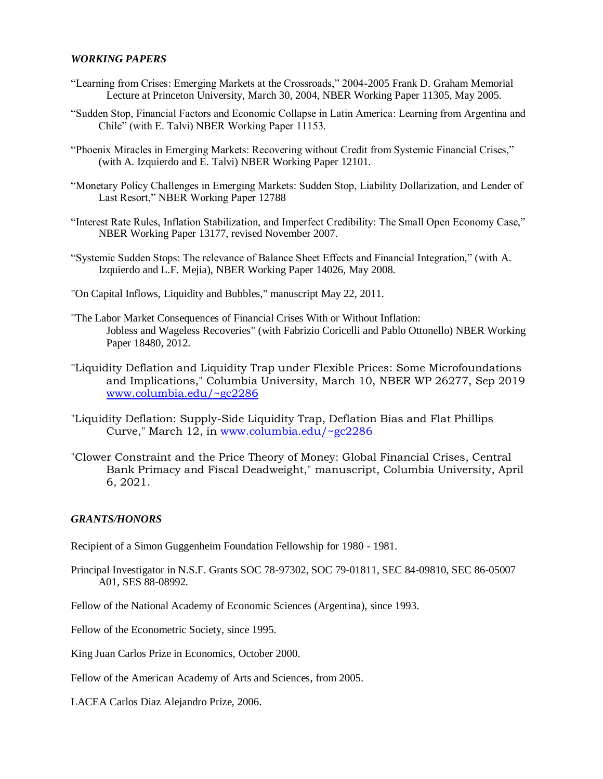#### *WORKING PAPERS*

- "Learning from Crises: Emerging Markets at the Crossroads," 2004-2005 Frank D. Graham Memorial Lecture at Princeton University, March 30, 2004, NBER Working Paper 11305, May 2005.
- "Sudden Stop, Financial Factors and Economic Collapse in Latin America: Learning from Argentina and Chile" (with E. Talvi) NBER Working Paper 11153.
- "Phoenix Miracles in Emerging Markets: Recovering without Credit from Systemic Financial Crises," (with A. Izquierdo and E. Talvi) NBER Working Paper 12101.
- "Monetary Policy Challenges in Emerging Markets: Sudden Stop, Liability Dollarization, and Lender of Last Resort," NBER Working Paper 12788
- "Interest Rate Rules, Inflation Stabilization, and Imperfect Credibility: The Small Open Economy Case," NBER Working Paper 13177, revised November 2007.
- "Systemic Sudden Stops: The relevance of Balance Sheet Effects and Financial Integration," (with A. Izquierdo and L.F. Mejia), NBER Working Paper 14026, May 2008.
- "On Capital Inflows, Liquidity and Bubbles," manuscript May 22, 2011.
- "The Labor Market Consequences of Financial Crises With or Without Inflation: Jobless and Wageless Recoveries" (with Fabrizio Coricelli and Pablo Ottonello) NBER Working Paper 18480, 2012.
- "Liquidity Deflation and Liquidity Trap under Flexible Prices: Some Microfoundations and Implications," Columbia University, March 10, NBER WP 26277, Sep 2019 [www.columbia.edu/~gc2286](http://www.columbia.edu/~gc2286)
- "Liquidity Deflation: Supply-Side Liquidity Trap, Deflation Bias and Flat Phillips Curve," March 12, in [www.columbia.edu/~gc2286](http://www.columbia.edu/~gc2286)
- "Clower Constraint and the Price Theory of Money: Global Financial Crises, Central Bank Primacy and Fiscal Deadweight," manuscript, Columbia University, April 6, 2021.

### *GRANTS/HONORS*

Recipient of a Simon Guggenheim Foundation Fellowship for 1980 - 1981.

Principal Investigator in N.S.F. Grants SOC 78-97302, SOC 79-01811, SEC 84-09810, SEC 86-05007 A01, SES 88-08992.

Fellow of the National Academy of Economic Sciences (Argentina), since 1993.

Fellow of the Econometric Society, since 1995.

King Juan Carlos Prize in Economics, October 2000.

Fellow of the American Academy of Arts and Sciences, from 2005.

LACEA Carlos Diaz Alejandro Prize, 2006.